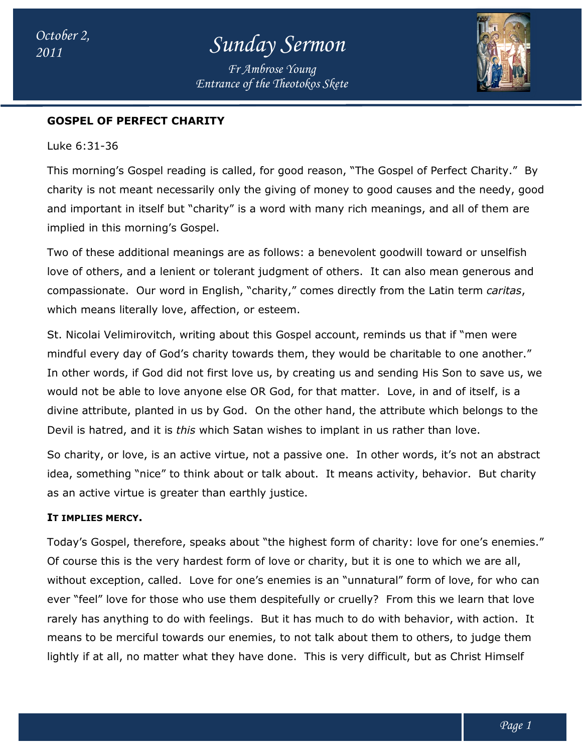*Entrance of the Theotokos Skete Fr Ambrose Young*



# **GOSPEL OF PERFECT CHARITY OF PERFECT**

Luke 6:31-36

This morning's Gospel reading is called, for good reason, "The Gospel of Perfect Charity." By This morning's Gospel reading is called, for good reason, "The Gospel of Perfect Charity." By<br>charity is not meant necessarily only the giving of money to good causes and the needy, good and important in itself but "charity" is a word with many rich meanings, and all of them are implied in this morning's Gospel. and important in itself but "charity" is a word with many rich meanings, and all of them are<br>implied in this morning's Gospel.<br>Two of these additional meanings are as follows: a benevolent goodwill toward or unselfish

love of others, and a lenient or tolerant judgment of others. It can also mean generous and compassionate. Our word in English, "charity," comes directly from the Latin term *caritas*, which means literally love, affection, or esteem.

St. Nicolai Velimirovitch, writing about this Gospel account, reminds us that if "men were mindful every day of God's charity towards them, they would be charitable to one another." In other words, if God did not first love us, by creating us and sending His Son to save us, we would not be able to love anyone else OR God, for that matter. Love, in and of itself, is a divine attribute, planted in us by God. On the other hand, the attribute which belongs to the Devil is hatred, and it is *this* which Satan wishes to implant in us rather than love. others, and a lenient or tolerant judgment of others. It can also mean generous and<br>sionate. Our word in English, "charity," comes directly from the Latin term *caritas*,<br>neans literally love, affection, or esteem.<br>Jai Vel ve us, by creating us and sending His Son to save us, we<br>e OR God, for that matter. Love, in and of itself, is a<br>d. On the other hand, the attribute which belongs to the<br>atan wishes to implant in us rather than love.<br>e, no

So charity, or love, is an active virtue, not a passive one. In other words, it's not an abstract idea, something "nice" to think about or talk about. It means activity, behavior. But charity as an active virtue is greater than earthly justice. divine attribute, planted in us by God. On the other hand, the attribute which belongs to the<br>Devil is hatred, and it is *this* which Satan wishes to implant in us rather than love.<br>So charity, or love, is an active virtue

# **IT IMPLIES MERCY.**

Today's Gospel, therefore, speaks about "the highest form of charity: love for one's enemies." Of course this is the very hardest form of love or charity, but it is one to which we are all, without exception, called. Love for one's enemies is an "unnatural" form of love, for who can ever "feel" love for those who use them despitefully or cruelly? From this we learn that love rarely has anything to do with feelings. But it has much to do with behavior, with action. It means to be merciful towards our enemies, to not talk about them to others, to judge them means to be merciful towards our enemies, to not talk about them to others, to judge then<br>lightly if at all, no matter what they have done. This is very difficult, but as Christ Himself without exception, called. Love for one's enemies is an "unnatural" form of love, for who can<br>ever "feel" love for those who use them despitefully or cruelly? From this we learn that love<br>rarely has anything to do with fee or charity, but it is one to which we are<br>nies is an "unnatural" form of love, for w<br>efully or cruelly? From this we learn tha<br>has much to do with behavior, with actio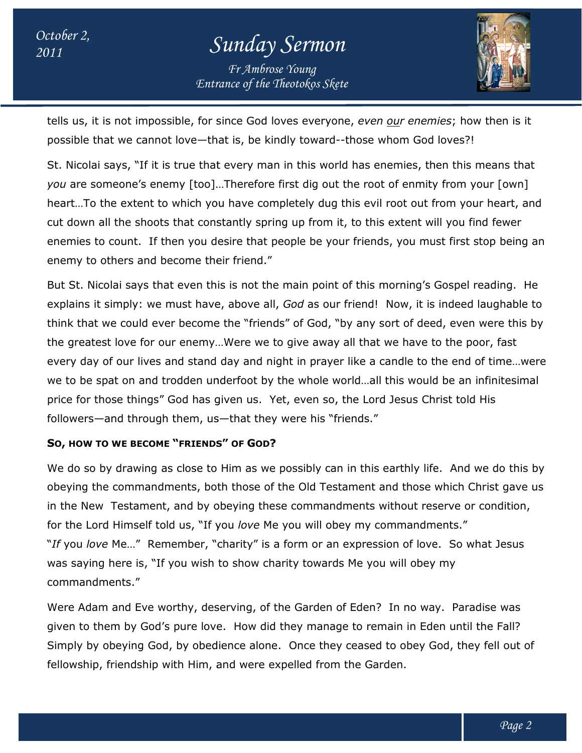# *<sup>2011</sup> Sunday Sermon*

*Entrance of the Theotokos Skete Fr Ambrose Young*



tells us, it is not impossible, for since God loves everyone, *even our enemies r* ; how then is it possible that we cannot love—that is, be kindly toward--those whom God loves?!

St. Nicolai says, "If it is true that every man in this world has enemies, then this means that *you* are someone's enemy [too]…Therefore first dig out the root of enmity from your [own] heart...To the extent to which you have completely dug this evil root out from your heart, and cut down all the shoots that constantly spring up from it, to this extent will you find fewer enemies to count. If then you desire that people be your friends, you must first stop being an enemy to others and become their friend." St. Nicolai says, "If it is true that every man in this world has enemies, then this means th<br>you are someone's enemy [too]...Therefore first dig out the root of enmity from your [own]<br>heart...To the extent to which you ha those whom God loves?!<br>
I has enemies, then this means that<br>
the root of enmity from your [own]<br>
his evil root out from your heart, and<br>
t to this extent will you find fewer<br>
r friends, you must first stop being an<br>
of thi

But St. Nicolai says that even this is not the main point of this morning's Gospel reading. He explains it simply: we must have, above all, God as our friend! Now, it is indeed laughable to think that we could ever become the "friends" of God, "by any sort of deed, even were this by think that we could ever become the "friends" of God, "by any sort of deed, even were this by<br>the greatest love for our enemy…Were we to give away all that we have to the poor, fast every day of our lives and stand day and night in prayer like a candle to the end of time…were we to be spat on and trodden underfoot by the whole world…all this would be an infinitesimal the greatest love for our enemy...Were we to give away all that we have to the poor, f<br>every day of our lives and stand day and night in prayer like a candle to the end of tir<br>we to be spat on and trodden underfoot by the followers—and through them, us—that they were his "friends." to count. If then you desire that people be your friends, you must first stop being an<br>i others and become their friend."<br>icolai says that even this is not the main point of this morning's Gospel reading. He<br>it simply: we

# **SO, HOW TO WE BECOME "FRIENDS " OF GOD?**

We do so by drawing as close to Him as we possibly can in this earthly life. And we do this by obeying the commandments, both those of the Old Testament and those which Christ gave us in the New Testament, and by obeying these commandments without reserve or condition, for the Lord Himself told us, "If you love Me you will obey my commandments." "If you love Me..." Remember, "charity" is a form or an expression of love. So what Jesus was saying here is, "If you wish to show charity towards Me you will obey my commandments." do so by drawing as close to Him as we possibly can in this earthly life. And<br>ying the commandments, both those of the Old Testament and those which<br>he New Testament, and by obeying these commandments without reserve of<br>th

Were Adam and Eve worthy, deserving, of the Garden of Eden? In no way. Paradise was given to them by God's pure love. How did they manage to remain in Eden until the Fall? Simply by obeying God, by obedience alone. Once they ceased to obey God, they fell out of fellowship, friendship with Him, and were expelled from the Garden. e Me..." Remember, "charity" is a form or an expression of love. So what Jesus<br>i here is, "If you wish to show charity towards Me you will obey my<br>nents."<br>in and Eve worthy, deserving, of the Garden of Eden? In no way. Par